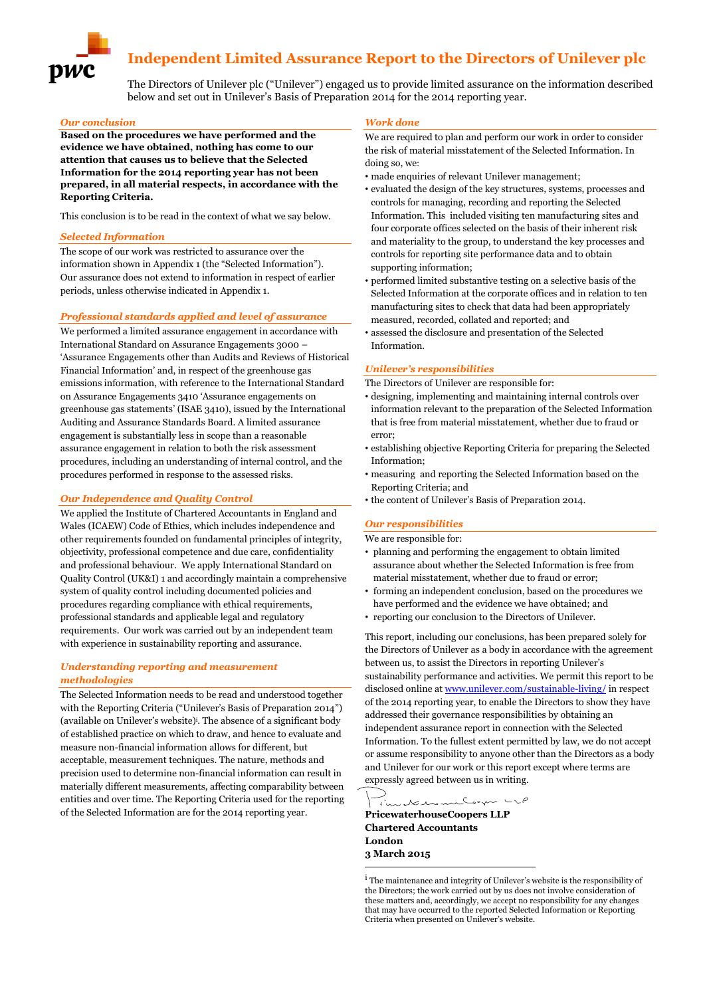# **Independent Limited Assurance Report to the Directors of Unilever plc**

The Directors of Unilever plc ("Unilever") engaged us to provide limited assurance on the information described below and set out in Unilever's Basis of Preparation 2014 for the 2014 reporting year.

#### *Our conclusion*

**Based on the procedures we have performed and the evidence we have obtained, nothing has come to our attention that causes us to believe that the Selected Information for the 2014 reporting year has not been prepared, in all material respects, in accordance with the Reporting Criteria.**

This conclusion is to be read in the context of what we say below.

#### *Selected Information*

The scope of our work was restricted to assurance over the information shown in Appendix 1 (the "Selected Information"). Our assurance does not extend to information in respect of earlier periods, unless otherwise indicated in Appendix 1.

#### *Professional standards applied and level of assurance*

We performed a limited assurance engagement in accordance with International Standard on Assurance Engagements 3000 – 'Assurance Engagements other than Audits and Reviews of Historical Financial Information' and, in respect of the greenhouse gas emissions information, with reference to the International Standard on Assurance Engagements 3410 'Assurance engagements on greenhouse gas statements' (ISAE 3410), issued by the International Auditing and Assurance Standards Board. A limited assurance engagement is substantially less in scope than a reasonable assurance engagement in relation to both the risk assessment procedures, including an understanding of internal control, and the procedures performed in response to the assessed risks.

#### *Our Independence and Quality Control*

We applied the Institute of Chartered Accountants in England and Wales (ICAEW) Code of Ethics, which includes independence and other requirements founded on fundamental principles of integrity, objectivity, professional competence and due care, confidentiality and professional behaviour. We apply International Standard on Quality Control (UK&I) 1 and accordingly maintain a comprehensive system of quality control including documented policies and procedures regarding compliance with ethical requirements, professional standards and applicable legal and regulatory requirements. Our work was carried out by an independent team with experience in sustainability reporting and assurance.

#### *Understanding reporting and measurement methodologies*

The Selected Information needs to be read and understood together with the Reporting Criteria ("Unilever's Basis of Preparation 2014") (available on Unilever's website)<sup>i</sup> . The absence of a significant body of established practice on which to draw, and hence to evaluate and measure non-financial information allows for different, but acceptable, measurement techniques. The nature, methods and precision used to determine non-financial information can result in materially different measurements, affecting comparability between entities and over time. The Reporting Criteria used for the reporting of the Selected Information are for the 2014 reporting year.

#### *Work done*

We are required to plan and perform our work in order to consider the risk of material misstatement of the Selected Information. In doing so, we:

- made enquiries of relevant Unilever management;
- evaluated the design of the key structures, systems, processes and controls for managing, recording and reporting the Selected Information. This included visiting ten manufacturing sites and four corporate offices selected on the basis of their inherent risk and materiality to the group, to understand the key processes and controls for reporting site performance data and to obtain supporting information;
- performed limited substantive testing on a selective basis of the Selected Information at the corporate offices and in relation to ten manufacturing sites to check that data had been appropriately measured, recorded, collated and reported; and
- assessed the disclosure and presentation of the Selected Information.

### *Unilever's responsibilities*

The Directors of Unilever are responsible for:

- designing, implementing and maintaining internal controls over information relevant to the preparation of the Selected Information that is free from material misstatement, whether due to fraud or error;
- establishing objective Reporting Criteria for preparing the Selected Information;
- measuring and reporting the Selected Information based on the Reporting Criteria; and
- the content of Unilever's Basis of Preparation 2014.

### *Our responsibilities*

We are responsible for:

- planning and performing the engagement to obtain limited assurance about whether the Selected Information is free from material misstatement, whether due to fraud or error;
- forming an independent conclusion, based on the procedures we have performed and the evidence we have obtained; and
- reporting our conclusion to the Directors of Unilever.

This report, including our conclusions, has been prepared solely for the Directors of Unilever as a body in accordance with the agreement between us, to assist the Directors in reporting Unilever's sustainability performance and activities. We permit this report to be disclosed online a[t www.unilever.com/sustainable-living/](http://www.unilever.com/sustainable-living/) in respect of the 2014 reporting year, to enable the Directors to show they have addressed their governance responsibilities by obtaining an independent assurance report in connection with the Selected Information. To the fullest extent permitted by law, we do not accept or assume responsibility to anyone other than the Directors as a body and Unilever for our work or this report except where terms are expressly agreed between us in writing.

an important **PricewaterhouseCoopers LLP Chartered Accountants London 3 March 2015**

**.** 

i The maintenance and integrity of Unilever's website is the responsibility of the Directors; the work carried out by us does not involve consideration of these matters and, accordingly, we accept no responsibility for any changes that may have occurred to the reported Selected Information or Reporting Criteria when presented on Unilever's website.